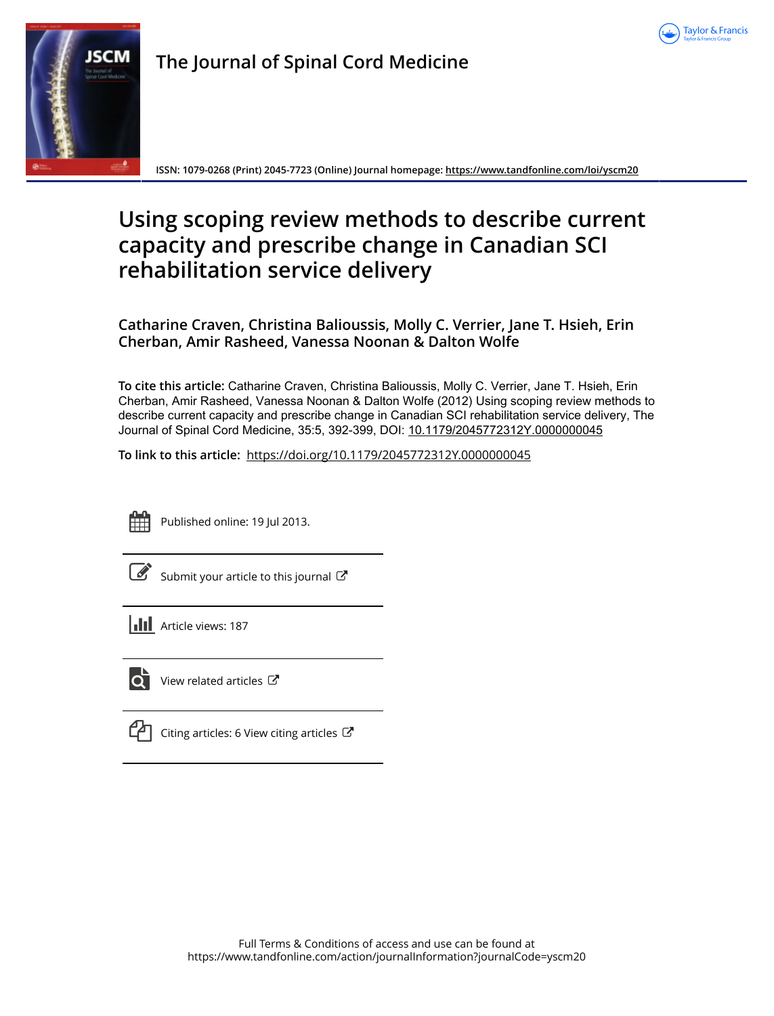



**The Journal of Spinal Cord Medicine**

**ISSN: 1079-0268 (Print) 2045-7723 (Online) Journal homepage:<https://www.tandfonline.com/loi/yscm20>**

# **Using scoping review methods to describe current capacity and prescribe change in Canadian SCI rehabilitation service delivery**

**Catharine Craven, Christina Balioussis, Molly C. Verrier, Jane T. Hsieh, Erin Cherban, Amir Rasheed, Vanessa Noonan & Dalton Wolfe**

**To cite this article:** Catharine Craven, Christina Balioussis, Molly C. Verrier, Jane T. Hsieh, Erin Cherban, Amir Rasheed, Vanessa Noonan & Dalton Wolfe (2012) Using scoping review methods to describe current capacity and prescribe change in Canadian SCI rehabilitation service delivery, The Journal of Spinal Cord Medicine, 35:5, 392-399, DOI: [10.1179/2045772312Y.0000000045](https://www.tandfonline.com/action/showCitFormats?doi=10.1179/2045772312Y.0000000045)

**To link to this article:** <https://doi.org/10.1179/2045772312Y.0000000045>



Published online: 19 Jul 2013.

[Submit your article to this journal](https://www.tandfonline.com/action/authorSubmission?journalCode=yscm20&show=instructions)  $\mathbb{Z}$ 

**Article views: 187** 



[View related articles](https://www.tandfonline.com/doi/mlt/10.1179/2045772312Y.0000000045)  $\mathbb{Z}$ 

[Citing articles: 6 View citing articles](https://www.tandfonline.com/doi/citedby/10.1179/2045772312Y.0000000045#tabModule)  $\mathbb{Z}$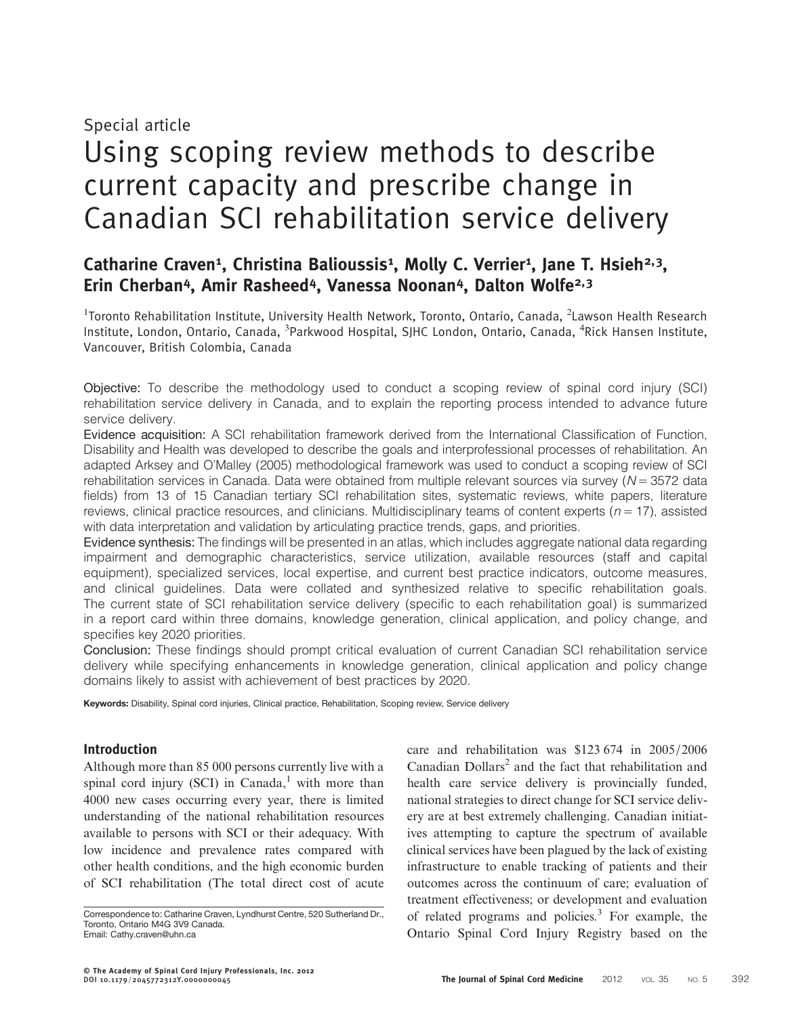# Special article Using scoping review methods to describe current capacity and prescribe change in Canadian SCI rehabilitation service delivery

## Catharine Craven<sup>1</sup>, Christina Balioussis<sup>1</sup>, Molly C. Verrier<sup>1</sup>, Jane T. Hsieh<sup>2,3</sup>, Erin Cherban<sup>4</sup>, Amir Rasheed<sup>4</sup>, Vanessa Noonan<sup>4</sup>, Dalton Wolfe<sup>2,3</sup>

<sup>1</sup>Toronto Rehabilitation Institute, University Health Network, Toronto, Ontario, Canada, <sup>2</sup>Lawson Health Research Institute, London, Ontario, Canada, <sup>3</sup>Parkwood Hospital, SJHC London, Ontario, Canada, <sup>4</sup>Rick Hansen Institute, Vancouver, British Colombia, Canada

Objective: To describe the methodology used to conduct a scoping review of spinal cord injury (SCI) rehabilitation service delivery in Canada, and to explain the reporting process intended to advance future service delivery.

Evidence acquisition: A SCI rehabilitation framework derived from the International Classification of Function, Disability and Health was developed to describe the goals and interprofessional processes of rehabilitation. An adapted Arksey and O'Malley (2005) methodological framework was used to conduct a scoping review of SCI rehabilitation services in Canada. Data were obtained from multiple relevant sources via survey ( $N = 3572$  data fields) from 13 of 15 Canadian tertiary SCI rehabilitation sites, systematic reviews, white papers, literature reviews, clinical practice resources, and clinicians. Multidisciplinary teams of content experts ( $n = 17$ ), assisted with data interpretation and validation by articulating practice trends, gaps, and priorities.

Evidence synthesis: The findings will be presented in an atlas, which includes aggregate national data regarding impairment and demographic characteristics, service utilization, available resources (staff and capital equipment), specialized services, local expertise, and current best practice indicators, outcome measures, and clinical guidelines. Data were collated and synthesized relative to specific rehabilitation goals. The current state of SCI rehabilitation service delivery (specific to each rehabilitation goal) is summarized in a report card within three domains, knowledge generation, clinical application, and policy change, and specifies key 2020 priorities.

Conclusion: These findings should prompt critical evaluation of current Canadian SCI rehabilitation service delivery while specifying enhancements in knowledge generation, clinical application and policy change domains likely to assist with achievement of best practices by 2020.

Keywords: Disability, Spinal cord injuries, Clinical practice, Rehabilitation, Scoping review, Service delivery

## Introduction

Although more than 85 000 persons currently live with a spinal cord injury (SCI) in Canada,<sup>[1](#page-8-0)</sup> with more than 4000 new cases occurring every year, there is limited understanding of the national rehabilitation resources available to persons with SCI or their adequacy. With low incidence and prevalence rates compared with other health conditions, and the high economic burden of SCI rehabilitation (The total direct cost of acute

Correspondence to: Catharine Craven, Lyndhurst Centre, 520 Sutherland Dr., Toronto, Ontario M4G 3V9 Canada.

Email: [Cathy.craven@uhn.ca](mailto:Cathy.craven@uhn.ca)

care and rehabilitation was \$123 674 in 2005/2006 Canadian Dollars<sup>[2](#page-8-0)</sup> and the fact that rehabilitation and health care service delivery is provincially funded, national strategies to direct change for SCI service delivery are at best extremely challenging. Canadian initiatives attempting to capture the spectrum of available clinical services have been plagued by the lack of existing infrastructure to enable tracking of patients and their outcomes across the continuum of care; evaluation of treatment effectiveness; or development and evaluation of related programs and policies.[3](#page-8-0) For example, the Ontario Spinal Cord Injury Registry based on the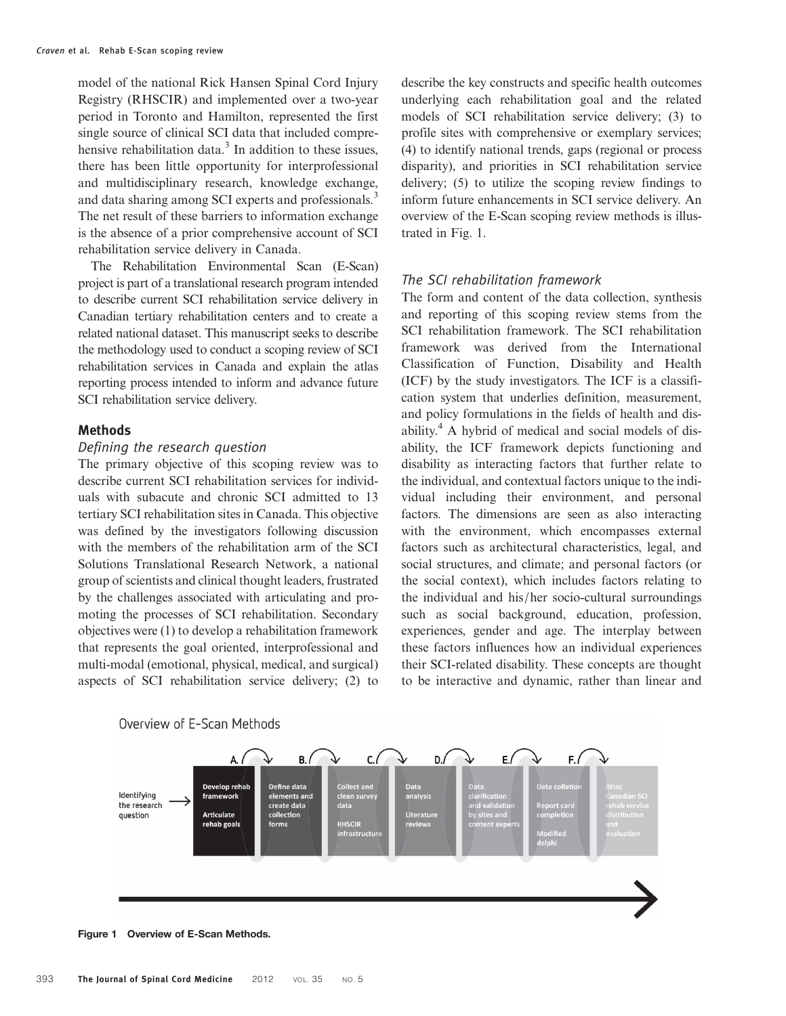model of the national Rick Hansen Spinal Cord Injury Registry (RHSCIR) and implemented over a two-year period in Toronto and Hamilton, represented the first single source of clinical SCI data that included comprehensive rehabilitation data. $3$  In addition to these issues, there has been little opportunity for interprofessional and multidisciplinary research, knowledge exchange, and data sharing among SCI experts and professionals.<sup>[3](#page-8-0)</sup> The net result of these barriers to information exchange is the absence of a prior comprehensive account of SCI rehabilitation service delivery in Canada.

The Rehabilitation Environmental Scan (E-Scan) project is part of a translational research program intended to describe current SCI rehabilitation service delivery in Canadian tertiary rehabilitation centers and to create a related national dataset. This manuscript seeks to describe the methodology used to conduct a scoping review of SCI rehabilitation services in Canada and explain the atlas reporting process intended to inform and advance future SCI rehabilitation service delivery.

### **Methods**

## Defining the research question

The primary objective of this scoping review was to describe current SCI rehabilitation services for individuals with subacute and chronic SCI admitted to 13 tertiary SCI rehabilitation sites in Canada. This objective was defined by the investigators following discussion with the members of the rehabilitation arm of the SCI Solutions Translational Research Network, a national group of scientists and clinical thought leaders, frustrated by the challenges associated with articulating and promoting the processes of SCI rehabilitation. Secondary objectives were (1) to develop a rehabilitation framework that represents the goal oriented, interprofessional and multi-modal (emotional, physical, medical, and surgical) aspects of SCI rehabilitation service delivery; (2) to describe the key constructs and specific health outcomes underlying each rehabilitation goal and the related models of SCI rehabilitation service delivery; (3) to profile sites with comprehensive or exemplary services; (4) to identify national trends, gaps (regional or process disparity), and priorities in SCI rehabilitation service delivery; (5) to utilize the scoping review findings to inform future enhancements in SCI service delivery. An overview of the E-Scan scoping review methods is illustrated in Fig. 1.

### The SCI rehabilitation framework

The form and content of the data collection, synthesis and reporting of this scoping review stems from the SCI rehabilitation framework. The SCI rehabilitation framework was derived from the International Classification of Function, Disability and Health (ICF) by the study investigators. The ICF is a classification system that underlies definition, measurement, and policy formulations in the fields of health and disability[.4](#page-8-0) A hybrid of medical and social models of disability, the ICF framework depicts functioning and disability as interacting factors that further relate to the individual, and contextual factors unique to the individual including their environment, and personal factors. The dimensions are seen as also interacting with the environment, which encompasses external factors such as architectural characteristics, legal, and social structures, and climate; and personal factors (or the social context), which includes factors relating to the individual and his/her socio-cultural surroundings such as social background, education, profession, experiences, gender and age. The interplay between these factors influences how an individual experiences their SCI-related disability. These concepts are thought to be interactive and dynamic, rather than linear and



Figure 1 Overview of E-Scan Methods.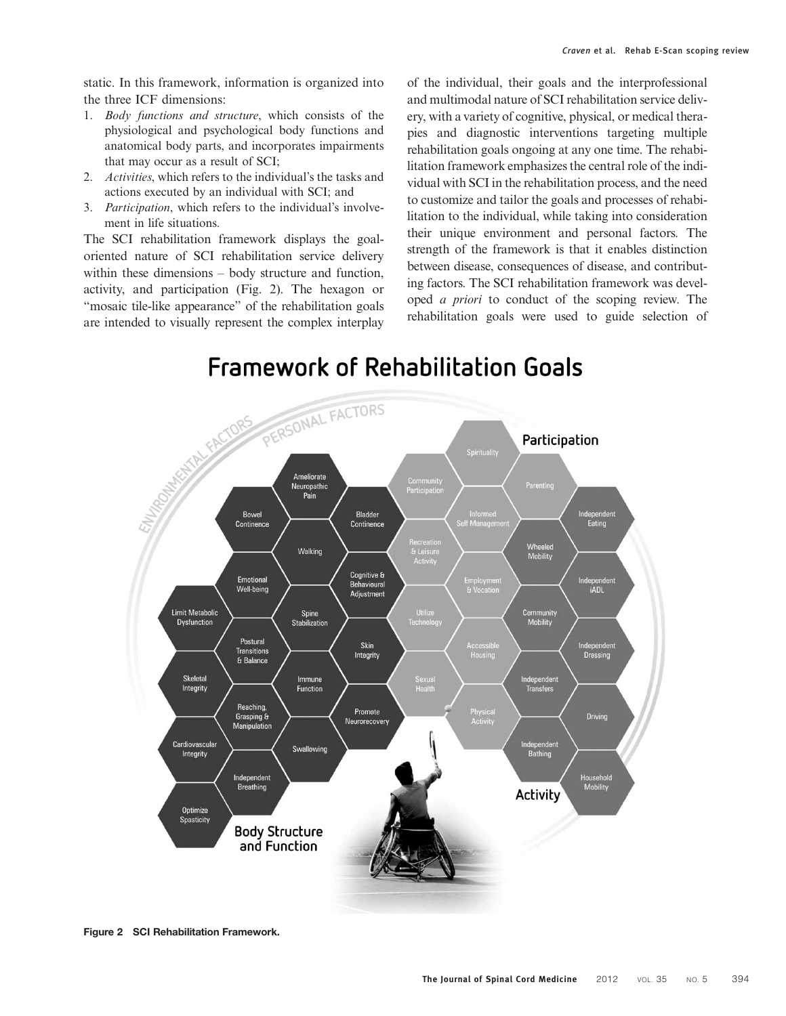static. In this framework, information is organized into the three ICF dimensions:

- 1. Body functions and structure, which consists of the physiological and psychological body functions and anatomical body parts, and incorporates impairments that may occur as a result of SCI;
- 2. Activities, which refers to the individual's the tasks and actions executed by an individual with SCI; and
- 3. Participation, which refers to the individual's involvement in life situations.

The SCI rehabilitation framework displays the goaloriented nature of SCI rehabilitation service delivery within these dimensions – body structure and function, activity, and participation (Fig. 2). The hexagon or "mosaic tile-like appearance" of the rehabilitation goals are intended to visually represent the complex interplay

of the individual, their goals and the interprofessional and multimodal nature of SCI rehabilitation service delivery, with a variety of cognitive, physical, or medical therapies and diagnostic interventions targeting multiple rehabilitation goals ongoing at any one time. The rehabilitation framework emphasizes the central role of the individual with SCI in the rehabilitation process, and the need to customize and tailor the goals and processes of rehabilitation to the individual, while taking into consideration their unique environment and personal factors. The strength of the framework is that it enables distinction between disease, consequences of disease, and contributing factors. The SCI rehabilitation framework was developed a priori to conduct of the scoping review. The rehabilitation goals were used to guide selection of

# **Framework of Rehabilitation Goals**



Figure 2 SCI Rehabilitation Framework.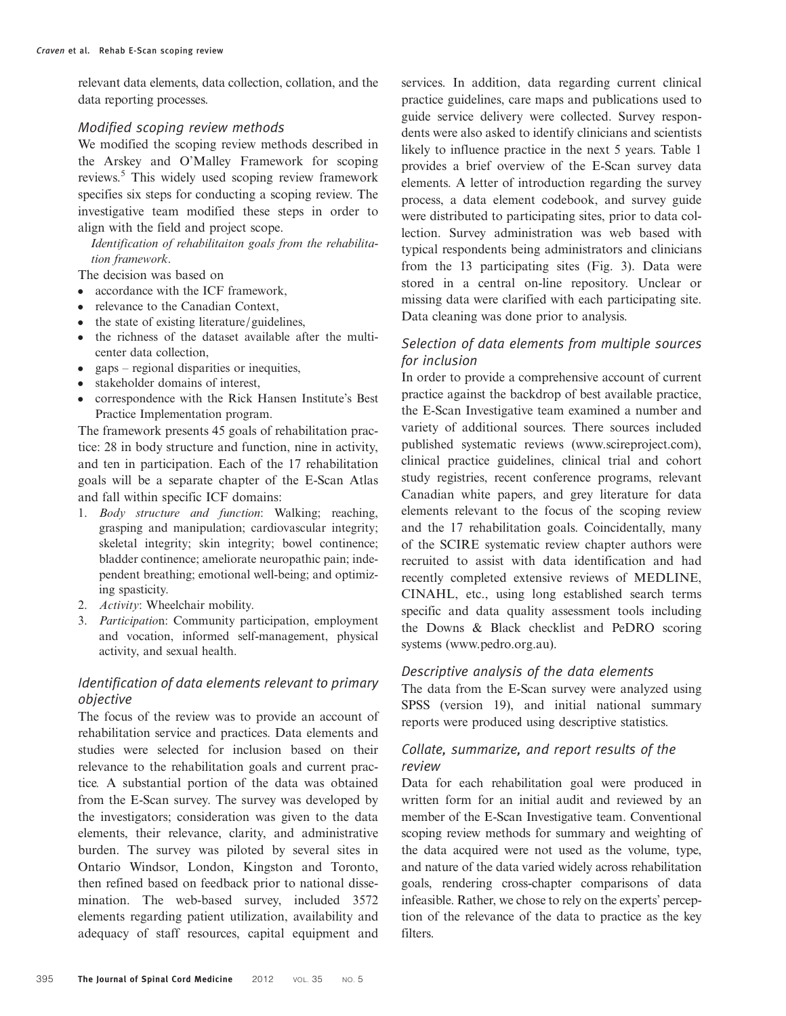relevant data elements, data collection, collation, and the data reporting processes.

## Modified scoping review methods

We modified the scoping review methods described in the Arskey and O'Malley Framework for scoping reviews.<sup>[5](#page-8-0)</sup> This widely used scoping review framework specifies six steps for conducting a scoping review. The investigative team modified these steps in order to align with the field and project scope.

Identification of rehabilitaiton goals from the rehabilitation framework.

The decision was based on

- accordance with the ICF framework,
- relevance to the Canadian Context,
- the state of existing literature/guidelines,
- the richness of the dataset available after the multicenter data collection,
- gaps regional disparities or inequities,
- stakeholder domains of interest,
- correspondence with the Rick Hansen Institute's Best Practice Implementation program.

The framework presents 45 goals of rehabilitation practice: 28 in body structure and function, nine in activity, and ten in participation. Each of the 17 rehabilitation goals will be a separate chapter of the E-Scan Atlas and fall within specific ICF domains:

- 1. Body structure and function: Walking; reaching, grasping and manipulation; cardiovascular integrity; skeletal integrity; skin integrity; bowel continence; bladder continence; ameliorate neuropathic pain; independent breathing; emotional well-being; and optimizing spasticity.
- 2. Activity: Wheelchair mobility.
- 3. Participation: Community participation, employment and vocation, informed self-management, physical activity, and sexual health.

## Identification of data elements relevant to primary objective

The focus of the review was to provide an account of rehabilitation service and practices. Data elements and studies were selected for inclusion based on their relevance to the rehabilitation goals and current practice. A substantial portion of the data was obtained from the E-Scan survey. The survey was developed by the investigators; consideration was given to the data elements, their relevance, clarity, and administrative burden. The survey was piloted by several sites in Ontario Windsor, London, Kingston and Toronto, then refined based on feedback prior to national dissemination. The web-based survey, included 3572 elements regarding patient utilization, availability and adequacy of staff resources, capital equipment and

services. In addition, data regarding current clinical practice guidelines, care maps and publications used to guide service delivery were collected. Survey respondents were also asked to identify clinicians and scientists likely to influence practice in the next 5 years. Table [1](#page-5-0) provides a brief overview of the E-Scan survey data elements. A letter of introduction regarding the survey process, a data element codebook, and survey guide were distributed to participating sites, prior to data collection. Survey administration was web based with typical respondents being administrators and clinicians from the 13 participating sites (Fig. [3\)](#page-6-0). Data were stored in a central on-line repository. Unclear or missing data were clarified with each participating site. Data cleaning was done prior to analysis.

## Selection of data elements from multiple sources for inclusion

In order to provide a comprehensive account of current practice against the backdrop of best available practice, the E-Scan Investigative team examined a number and variety of additional sources. There sources included published systematic reviews ([www.scireproject.com\)](www.scireproject.com), clinical practice guidelines, clinical trial and cohort study registries, recent conference programs, relevant Canadian white papers, and grey literature for data elements relevant to the focus of the scoping review and the 17 rehabilitation goals. Coincidentally, many of the SCIRE systematic review chapter authors were recruited to assist with data identification and had recently completed extensive reviews of MEDLINE, CINAHL, etc., using long established search terms specific and data quality assessment tools including the Downs & Black checklist and PeDRO scoring systems (<www.pedro.org.au>).

## Descriptive analysis of the data elements

The data from the E-Scan survey were analyzed using SPSS (version 19), and initial national summary reports were produced using descriptive statistics.

## Collate, summarize, and report results of the review

Data for each rehabilitation goal were produced in written form for an initial audit and reviewed by an member of the E-Scan Investigative team. Conventional scoping review methods for summary and weighting of the data acquired were not used as the volume, type, and nature of the data varied widely across rehabilitation goals, rendering cross-chapter comparisons of data infeasible. Rather, we chose to rely on the experts' perception of the relevance of the data to practice as the key filters.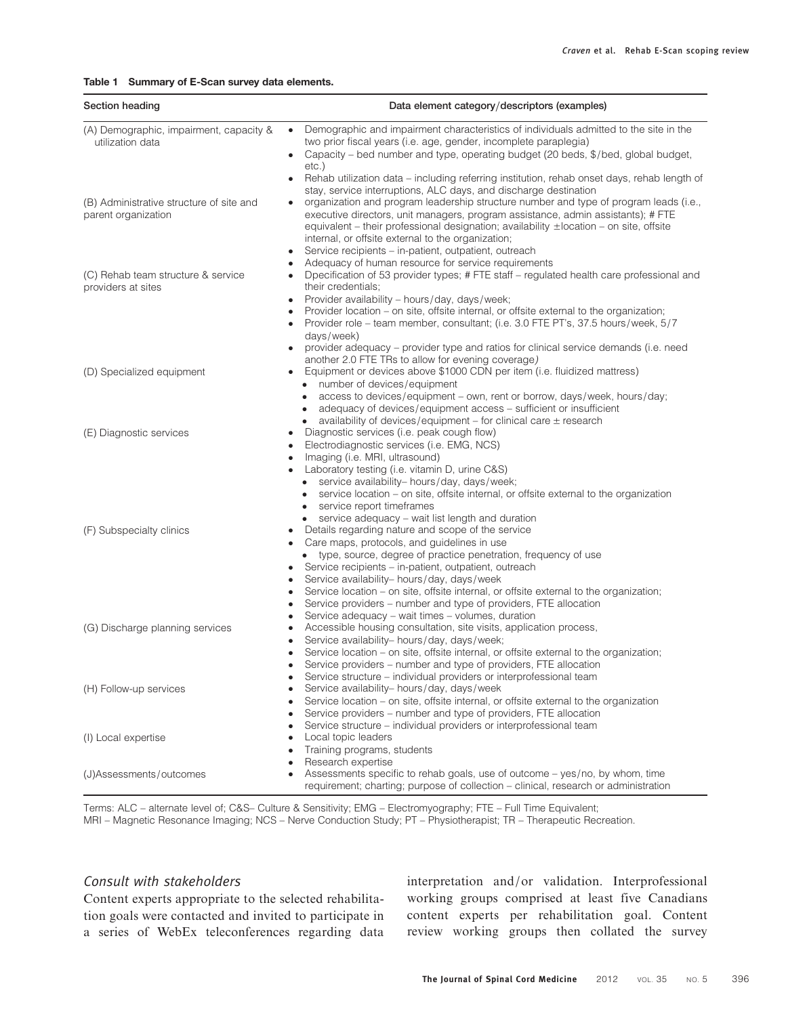#### <span id="page-5-0"></span>Table 1 Summary of E-Scan survey data elements.

| Section heading                                                 | Data element category/descriptors (examples)                                                                                                                                                                                                                                                                                                                                                                                                                                                                                                                                                                                                                                                                                                                                       |
|-----------------------------------------------------------------|------------------------------------------------------------------------------------------------------------------------------------------------------------------------------------------------------------------------------------------------------------------------------------------------------------------------------------------------------------------------------------------------------------------------------------------------------------------------------------------------------------------------------------------------------------------------------------------------------------------------------------------------------------------------------------------------------------------------------------------------------------------------------------|
| (A) Demographic, impairment, capacity &<br>utilization data     | Demographic and impairment characteristics of individuals admitted to the site in the<br>$\bullet$<br>two prior fiscal years (i.e. age, gender, incomplete paraplegia)<br>Capacity – bed number and type, operating budget (20 beds, \$/bed, global budget,<br>$\bullet$<br>$etc.$ )<br>Rehab utilization data - including referring institution, rehab onset days, rehab length of                                                                                                                                                                                                                                                                                                                                                                                                |
| (B) Administrative structure of site and<br>parent organization | stay, service interruptions, ALC days, and discharge destination<br>organization and program leadership structure number and type of program leads (i.e.,<br>executive directors, unit managers, program assistance, admin assistants); # FTE<br>equivalent – their professional designation; availability $\pm$ location – on site, offsite<br>internal, or offsite external to the organization;<br>Service recipients - in-patient, outpatient, outreach<br>$\bullet$                                                                                                                                                                                                                                                                                                           |
| (C) Rehab team structure & service<br>providers at sites        | Adequacy of human resource for service requirements<br>Dpecification of 53 provider types; # FTE staff - regulated health care professional and<br>$\bullet$<br>their credentials;<br>Provider availability - hours/day, days/week;<br>$\bullet$<br>Provider location – on site, offsite internal, or offsite external to the organization;<br>$\bullet$<br>Provider role - team member, consultant; (i.e. 3.0 FTE PT's, 37.5 hours/week, 5/7                                                                                                                                                                                                                                                                                                                                      |
| (D) Specialized equipment                                       | days/week)<br>provider adequacy - provider type and ratios for clinical service demands (i.e. need<br>another 2.0 FTE TRs to allow for evening coverage)<br>Equipment or devices above \$1000 CDN per item (i.e. fluidized mattress)<br>$\bullet$<br>number of devices/equipment<br>access to devices/equipment - own, rent or borrow, days/week, hours/day;<br>$\bullet$<br>adequacy of devices/equipment access - sufficient or insufficient<br>٠                                                                                                                                                                                                                                                                                                                                |
| (E) Diagnostic services                                         | availability of devices/equipment – for clinical care $\pm$ research<br>$\bullet$<br>Diagnostic services (i.e. peak cough flow)<br>٠<br>Electrodiagnostic services (i.e. EMG, NCS)<br>$\bullet$                                                                                                                                                                                                                                                                                                                                                                                                                                                                                                                                                                                    |
| (F) Subspecialty clinics                                        | Imaging (i.e. MRI, ultrasound)<br>Laboratory testing (i.e. vitamin D, urine C&S)<br>service availability- hours/day, days/week;<br>$\bullet$<br>service location – on site, offsite internal, or offsite external to the organization<br>$\bullet$<br>service report timeframes<br>$\bullet$<br>service adequacy - wait list length and duration<br>$\bullet$<br>Details regarding nature and scope of the service<br>Care maps, protocols, and guidelines in use<br>$\bullet$<br>• type, source, degree of practice penetration, frequency of use<br>Service recipients - in-patient, outpatient, outreach<br>$\bullet$<br>Service availability- hours/day, days/week<br>$\bullet$<br>Service location - on site, offsite internal, or offsite external to the organization;<br>٠ |
| (G) Discharge planning services                                 | Service providers - number and type of providers, FTE allocation<br>Service adequacy - wait times - volumes, duration<br>Accessible housing consultation, site visits, application process,<br>$\bullet$<br>Service availability- hours/day, days/week;<br>Service location – on site, offsite internal, or offsite external to the organization;<br>٠                                                                                                                                                                                                                                                                                                                                                                                                                             |
| (H) Follow-up services                                          | Service providers - number and type of providers, FTE allocation<br>Service structure - individual providers or interprofessional team<br>Service availability- hours/day, days/week<br>Service location - on site, offsite internal, or offsite external to the organization<br>Service providers – number and type of providers, FTE allocation<br>٠                                                                                                                                                                                                                                                                                                                                                                                                                             |
| (I) Local expertise                                             | Service structure – individual providers or interprofessional team<br>Local topic leaders<br>٠<br>Training programs, students                                                                                                                                                                                                                                                                                                                                                                                                                                                                                                                                                                                                                                                      |
| (J)Assessments/outcomes                                         | Research expertise<br>Assessments specific to rehab goals, use of outcome – yes/no, by whom, time<br>requirement; charting; purpose of collection - clinical, research or administration                                                                                                                                                                                                                                                                                                                                                                                                                                                                                                                                                                                           |

Terms: ALC – alternate level of; C&S– Culture & Sensitivity; EMG – Electromyography; FTE – Full Time Equivalent; MRI – Magnetic Resonance Imaging; NCS – Nerve Conduction Study; PT – Physiotherapist; TR – Therapeutic Recreation.

## Consult with stakeholders

Content experts appropriate to the selected rehabilitation goals were contacted and invited to participate in a series of WebEx teleconferences regarding data interpretation and/or validation. Interprofessional working groups comprised at least five Canadians content experts per rehabilitation goal. Content review working groups then collated the survey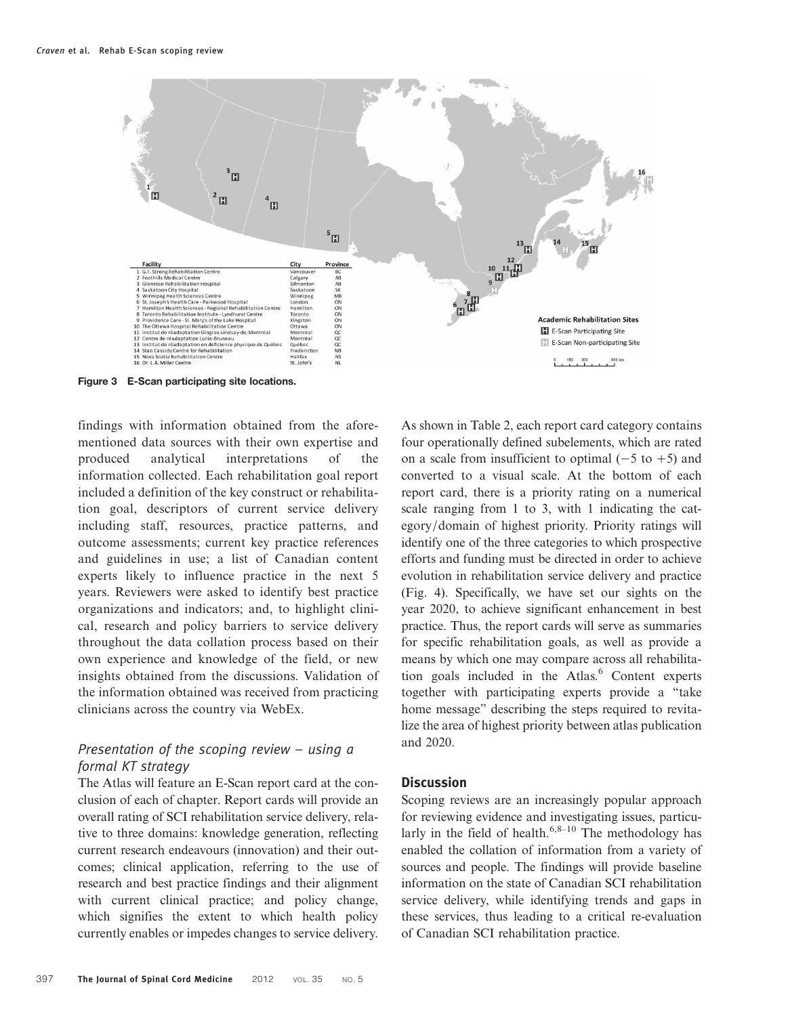<span id="page-6-0"></span>

Figure 3 E-Scan participating site locations.

findings with information obtained from the aforementioned data sources with their own expertise and produced analytical interpretations of the information collected. Each rehabilitation goal report included a definition of the key construct or rehabilitation goal, descriptors of current service delivery including staff, resources, practice patterns, and outcome assessments; current key practice references and guidelines in use; a list of Canadian content experts likely to influence practice in the next 5 years. Reviewers were asked to identify best practice organizations and indicators; and, to highlight clinical, research and policy barriers to service delivery throughout the data collation process based on their own experience and knowledge of the field, or new insights obtained from the discussions. Validation of the information obtained was received from practicing clinicians across the country via WebEx.

## Presentation of the scoping review – using a formal KT strategy

The Atlas will feature an E-Scan report card at the conclusion of each of chapter. Report cards will provide an overall rating of SCI rehabilitation service delivery, relative to three domains: knowledge generation, reflecting current research endeavours (innovation) and their outcomes; clinical application, referring to the use of research and best practice findings and their alignment with current clinical practice; and policy change, which signifies the extent to which health policy currently enables or impedes changes to service delivery. As shown in Table [2](#page-7-0), each report card category contains four operationally defined subelements, which are rated on a scale from insufficient to optimal  $(-5$  to  $+5)$  and converted to a visual scale. At the bottom of each report card, there is a priority rating on a numerical scale ranging from 1 to 3, with 1 indicating the category/domain of highest priority. Priority ratings will identify one of the three categories to which prospective efforts and funding must be directed in order to achieve evolution in rehabilitation service delivery and practice (Fig. [4\)](#page-7-0). Specifically, we have set our sights on the year 2020, to achieve significant enhancement in best practice. Thus, the report cards will serve as summaries for specific rehabilitation goals, as well as provide a means by which one may compare across all rehabilitation goals included in the  $\text{Atlas}$ <sup>[6](#page-8-0)</sup> Content experts together with participating experts provide a "take home message" describing the steps required to revitalize the area of highest priority between atlas publication and 2020.

#### **Discussion**

Scoping reviews are an increasingly popular approach for reviewing evidence and investigating issues, particularly in the field of health. $6,8-10$  $6,8-10$  $6,8-10$  The methodology has enabled the collation of information from a variety of sources and people. The findings will provide baseline information on the state of Canadian SCI rehabilitation service delivery, while identifying trends and gaps in these services, thus leading to a critical re-evaluation of Canadian SCI rehabilitation practice.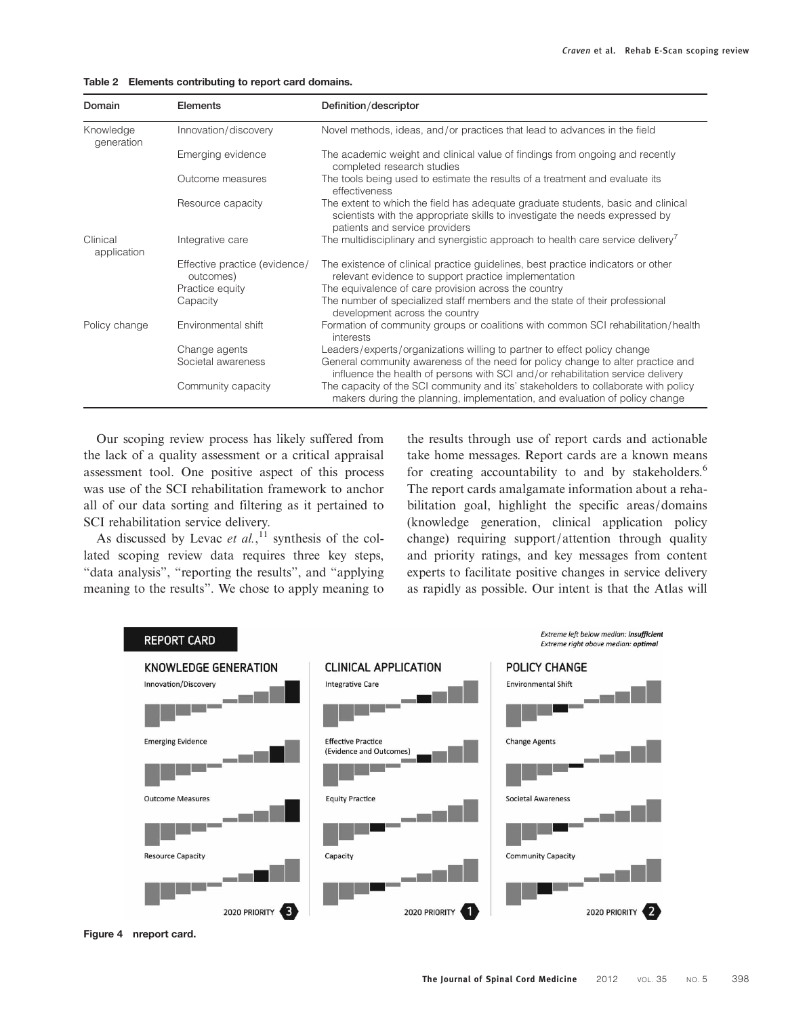<span id="page-7-0"></span>Table 2 Elements contributing to report card domains.

| Domain                  | <b>Elements</b>                            | Definition/descriptor                                                                                                                                                                              |
|-------------------------|--------------------------------------------|----------------------------------------------------------------------------------------------------------------------------------------------------------------------------------------------------|
| Knowledge<br>generation | Innovation/discovery                       | Novel methods, ideas, and/or practices that lead to advances in the field                                                                                                                          |
|                         | Emerging evidence                          | The academic weight and clinical value of findings from ongoing and recently<br>completed research studies                                                                                         |
|                         | Outcome measures                           | The tools being used to estimate the results of a treatment and evaluate its<br>effectiveness                                                                                                      |
|                         | Resource capacity                          | The extent to which the field has adequate graduate students, basic and clinical<br>scientists with the appropriate skills to investigate the needs expressed by<br>patients and service providers |
| Clinical<br>application | Integrative care                           | The multidisciplinary and synergistic approach to health care service delivery <sup>7</sup>                                                                                                        |
|                         | Effective practice (evidence/<br>outcomes) | The existence of clinical practice guidelines, best practice indicators or other<br>relevant evidence to support practice implementation                                                           |
|                         | Practice equity                            | The equivalence of care provision across the country                                                                                                                                               |
|                         | Capacity                                   | The number of specialized staff members and the state of their professional<br>development across the country                                                                                      |
| Policy change           | Environmental shift                        | Formation of community groups or coalitions with common SCI rehabilitation/health<br>interests                                                                                                     |
|                         | Change agents                              | Leaders/experts/organizations willing to partner to effect policy change                                                                                                                           |
|                         | Societal awareness                         | General community awareness of the need for policy change to alter practice and<br>influence the health of persons with SCI and/or rehabilitation service delivery                                 |
|                         | Community capacity                         | The capacity of the SCI community and its' stakeholders to collaborate with policy<br>makers during the planning, implementation, and evaluation of policy change                                  |

Our scoping review process has likely suffered from the lack of a quality assessment or a critical appraisal assessment tool. One positive aspect of this process was use of the SCI rehabilitation framework to anchor all of our data sorting and filtering as it pertained to SCI rehabilitation service delivery.

As discussed by Levac et  $al$ , <sup>[11](#page-8-0)</sup> synthesis of the collated scoping review data requires three key steps, "data analysis", "reporting the results", and "applying meaning to the results". We chose to apply meaning to

the results through use of report cards and actionable take home messages. Report cards are a known means for creating accountability to and by stakeholders.<sup>[6](#page-8-0)</sup> The report cards amalgamate information about a rehabilitation goal, highlight the specific areas/domains (knowledge generation, clinical application policy change) requiring support/attention through quality and priority ratings, and key messages from content experts to facilitate positive changes in service delivery as rapidly as possible. Our intent is that the Atlas will



Figure 4 nreport card.